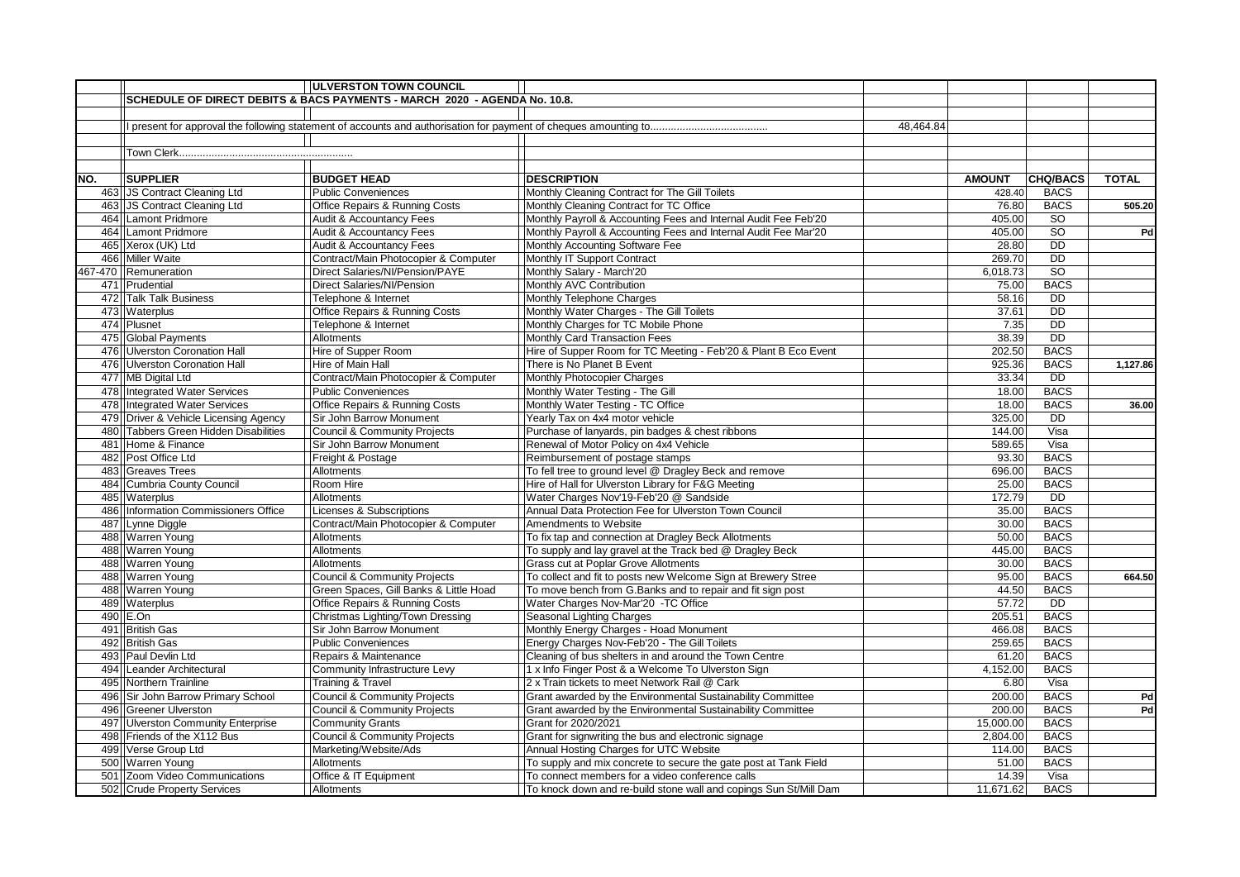|     |                                       | <b>ULVERSTON TOWN COUNCIL</b>                                             |                                                                   |           |               |                 |              |
|-----|---------------------------------------|---------------------------------------------------------------------------|-------------------------------------------------------------------|-----------|---------------|-----------------|--------------|
|     |                                       | SCHEDULE OF DIRECT DEBITS & BACS PAYMENTS - MARCH 2020 - AGENDA No. 10.8. |                                                                   |           |               |                 |              |
|     |                                       |                                                                           |                                                                   |           |               |                 |              |
|     |                                       |                                                                           |                                                                   | 48,464.84 |               |                 |              |
|     |                                       |                                                                           |                                                                   |           |               |                 |              |
|     |                                       |                                                                           |                                                                   |           |               |                 |              |
|     |                                       |                                                                           |                                                                   |           |               |                 |              |
| NO. | <b>SUPPLIER</b>                       | <b>BUDGET HEAD</b>                                                        | <b>DESCRIPTION</b>                                                |           | <b>AMOUNT</b> | <b>CHQ/BACS</b> | <b>TOTAL</b> |
|     | 463 JS Contract Cleaning Ltd          | Public Conveniences                                                       | Monthly Cleaning Contract for The Gill Toilets                    |           | 428.40        | <b>BACS</b>     |              |
| 463 | JS Contract Cleaning Ltd              | <b>Office Repairs &amp; Running Costs</b>                                 | Monthly Cleaning Contract for TC Office                           |           | 76.80         | <b>BACS</b>     | 505.20       |
|     | 464 Lamont Pridmore                   | Audit & Accountancy Fees                                                  | Monthly Payroll & Accounting Fees and Internal Audit Fee Feb'20   |           | 405.00        | SO              |              |
|     | 464 Lamont Pridmore                   | Audit & Accountancy Fees                                                  | Monthly Payroll & Accounting Fees and Internal Audit Fee Mar'20   |           | 405.00        | <sub>so</sub>   | Pd           |
| 465 | Xerox (UK) Ltd                        | Audit & Accountancy Fees                                                  | Monthly Accounting Software Fee                                   |           | 28.80         | <b>DD</b>       |              |
| 466 | Miller Waite                          | Contract/Main Photocopier & Computer                                      | Monthly IT Support Contract                                       |           | 269.70        | $\overline{DD}$ |              |
|     | 467-470 Remuneration                  | Direct Salaries/NI/Pension/PAYE                                           | Monthly Salary - March'20                                         |           | 6,018.73      | $\overline{SO}$ |              |
|     | 471 Prudential                        | Direct Salaries/NI/Pension                                                | Monthly AVC Contribution                                          |           | 75.00         | <b>BACS</b>     |              |
| 472 | <b>Talk Talk Business</b>             | Telephone & Internet                                                      | Monthly Telephone Charges                                         |           | 58.16         | DD              |              |
| 473 | Waterplus                             | Office Repairs & Running Costs                                            | Monthly Water Charges - The Gill Toilets                          |           | 37.61         | <b>DD</b>       |              |
|     | 474 Plusnet                           | Telephone & Internet                                                      | Monthly Charges for TC Mobile Phone                               |           | 7.35          | $\overline{DD}$ |              |
|     | 475 Global Payments                   | Allotments                                                                | Monthly Card Transaction Fees                                     |           | 38.39         | DD              |              |
|     | 476 Ulverston Coronation Hall         | Hire of Supper Room                                                       | Hire of Supper Room for TC Meeting - Feb'20 & Plant B Eco Event   |           | 202.50        | <b>BACS</b>     |              |
|     | 476 Ulverston Coronation Hall         | Hire of Main Hall                                                         | There is No Planet B Event                                        |           | 925.36        | <b>BACS</b>     | 1,127.86     |
|     | 477 MB Digital Ltd                    | Contract/Main Photocopier & Computer                                      | Monthly Photocopier Charges                                       |           | 33.34         | $\overline{DD}$ |              |
|     | 478 Integrated Water Services         | Public Conveniences                                                       | Monthly Water Testing - The Gill                                  |           | 18.00         | <b>BACS</b>     |              |
|     | 478   Integrated Water Services       | Office Repairs & Running Costs                                            | Monthly Water Testing - TC Office                                 |           | 18.00         | <b>BACS</b>     | 36.00        |
|     | 479 Driver & Vehicle Licensing Agency | Sir John Barrow Monument                                                  | Yearly Tax on 4x4 motor vehicle                                   |           | 325.00        | <b>DD</b>       |              |
| 480 | Tabbers Green Hidden Disabilities     | Council & Community Projects                                              | Purchase of lanyards, pin badges & chest ribbons                  |           | 144.00        | Visa            |              |
| 481 | Home & Finance                        | Sir John Barrow Monument                                                  | Renewal of Motor Policy on 4x4 Vehicle                            |           | 589.65        | Visa            |              |
|     | 482 Post Office Ltd                   | Freight & Postage                                                         | Reimbursement of postage stamps                                   |           | 93.30         | <b>BACS</b>     |              |
| 483 | <b>Greaves Trees</b>                  | Allotments                                                                | To fell tree to ground level @ Dragley Beck and remove            |           | 696.00        | <b>BACS</b>     |              |
| 484 | Cumbria County Council                | Room Hire                                                                 | Hire of Hall for Ulverston Library for F&G Meeting                |           | 25.00         | <b>BACS</b>     |              |
| 485 | Waterplus                             | Allotments                                                                | Water Charges Nov'19-Feb'20 @ Sandside                            |           | 172.79        | $\overline{DD}$ |              |
| 486 | Information Commissioners Office      | Licenses & Subscriptions                                                  | Annual Data Protection Fee for Ulverston Town Council             |           | 35.00         | <b>BACS</b>     |              |
| 487 | Lynne Diggle                          | Contract/Main Photocopier & Computer                                      | Amendments to Website                                             |           | 30.00         | <b>BACS</b>     |              |
|     | 488 Warren Young                      | Allotments                                                                | To fix tap and connection at Dragley Beck Allotments              |           | 50.00         | <b>BACS</b>     |              |
| 488 | Warren Young                          | Allotments                                                                | To supply and lay gravel at the Track bed @ Dragley Beck          |           | 445.00        | <b>BACS</b>     |              |
|     | 488 Warren Young                      | Allotments                                                                | <b>Grass cut at Poplar Grove Allotments</b>                       |           | 30.00         | <b>BACS</b>     |              |
| 488 | <b>Warren Young</b>                   | Council & Community Projects                                              | To collect and fit to posts new Welcome Sign at Brewery Stree     |           | 95.00         | <b>BACS</b>     | 664.50       |
| 488 | <b>Warren Young</b>                   | Green Spaces, Gill Banks & Little Hoad                                    | To move bench from G.Banks and to repair and fit sign post        |           | 44.50         | <b>BACS</b>     |              |
| 489 | Waterplus                             | Office Repairs & Running Costs                                            | Water Charges Nov-Mar'20 -TC Office                               |           | 57.72         | DD              |              |
| 490 | E.On                                  | Christmas Lighting/Town Dressing                                          | Seasonal Lighting Charges                                         |           | 205.51        | <b>BACS</b>     |              |
| 491 | <b>British Gas</b>                    | Sir John Barrow Monument                                                  | Monthly Energy Charges - Hoad Monument                            |           | 466.08        | <b>BACS</b>     |              |
| 492 | <b>British Gas</b>                    | <b>Public Conveniences</b>                                                | Energy Charges Nov-Feb'20 - The Gill Toilets                      |           | 259.65        | <b>BACS</b>     |              |
| 493 | Paul Devlin Ltd                       | Repairs & Maintenance                                                     | Cleaning of bus shelters in and around the Town Centre            |           | 61.20         | <b>BACS</b>     |              |
|     | 494 Leander Architectural             | Community Infrastructure Levy                                             | 1 x Info Finger Post & a Welcome To Ulverston Sign                |           | 4,152.00      | <b>BACS</b>     |              |
| 495 | Northern Trainline                    | Training & Travel                                                         | 2 x Train tickets to meet Network Rail @ Cark                     |           | 6.80          | Visa            |              |
| 496 | Sir John Barrow Primary School        | Council & Community Projects                                              | Grant awarded by the Environmental Sustainability Committee       |           | 200.00        | <b>BACS</b>     | Pd           |
| 496 | <b>Greener Ulverston</b>              | Council & Community Projects                                              | Grant awarded by the Environmental Sustainability Committee       |           | 200.00        | <b>BACS</b>     | Pd           |
| 497 | <b>Ulverston Community Enterprise</b> | Community Grants                                                          | Grant for 2020/2021                                               |           | 15,000.00     | <b>BACS</b>     |              |
|     | 498 Friends of the X112 Bus           | Council & Community Projects                                              | Grant for signwriting the bus and electronic signage              |           | 2,804.00      | <b>BACS</b>     |              |
|     | 499 Verse Group Ltd                   | Marketing/Website/Ads                                                     | Annual Hosting Charges for UTC Website                            |           | 114.00        | <b>BACS</b>     |              |
| 500 | <b>Warren Young</b>                   | Allotments                                                                | To supply and mix concrete to secure the gate post at Tank Field  |           | 51.00         | <b>BACS</b>     |              |
| 501 | Zoom Video Communications             | Office & IT Equipment                                                     | To connect members for a video conference calls                   |           | 14.39         | Visa            |              |
|     | 502 Crude Property Services           | Allotments                                                                | To knock down and re-build stone wall and copings Sun St/Mill Dam |           | 11,671.62     | <b>BACS</b>     |              |